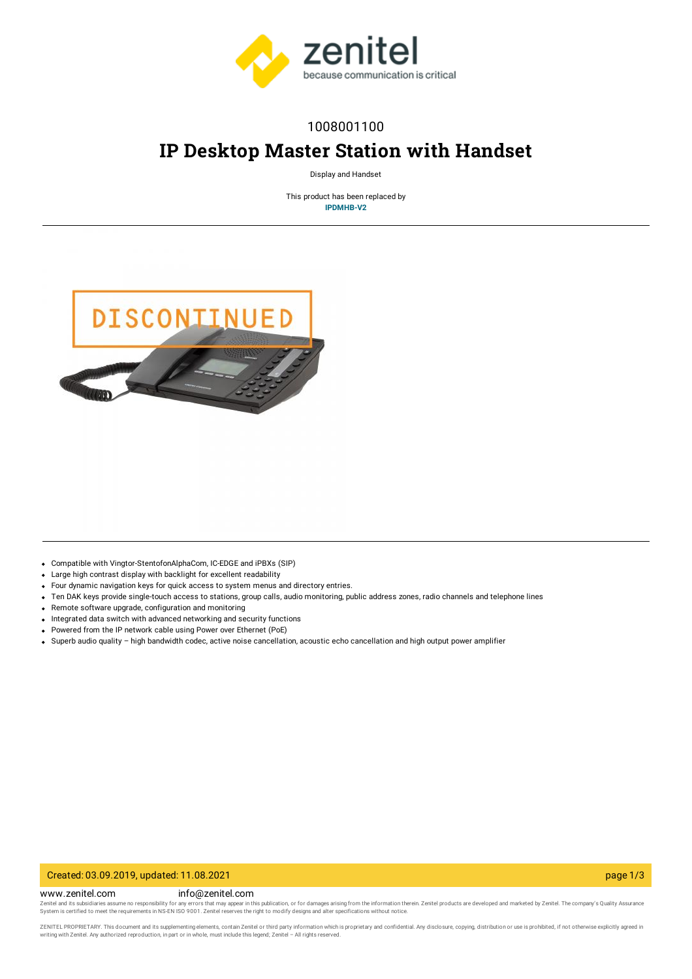

## 1008001100

# **IP Desktop Master Station with Handset**

Display and Handset

This product has been replaced by **[IPDMHB-V2](https://www.zenitel.com/product/ipdmhb-v2)**



- Compatible with Vingtor-StentofonAlphaCom, IC-EDGE and iPBXs (SIP)
- Large high contrast display with backlight for excellent readability
- Four dynamic navigation keys for quick access to system menus and directory entries.
- Ten DAK keys provide single-touch access to stations, group calls, audio monitoring, public address zones, radio channels and telephone lines
- Remote software upgrade, configuration and monitoring
- Integrated data switch with advanced networking and security functions
- Powered from the IP network cable using Power over Ethernet (PoE)
- Superb audio quality high bandwidth codec, active noise cancellation, acoustic echo cancellation and high output power amplifier

#### Created: 03.09.2019, updated: 11.08.2021 page 1/3

www.zenitel.com info@zenitel.com

Zenitel and its subsidiaries assume no responsibility for any errors that may appear in this publication, or for damages arising from the information therein. Zenitel products are developed and marketed by Zenitel. The com

ZENITEL PROPRIETARY. This document and its supplementing elements, contain Zenitel or third party information which is proprietary and confidential. Any disclosure, copying, distribution or use is prohibited, if not otherw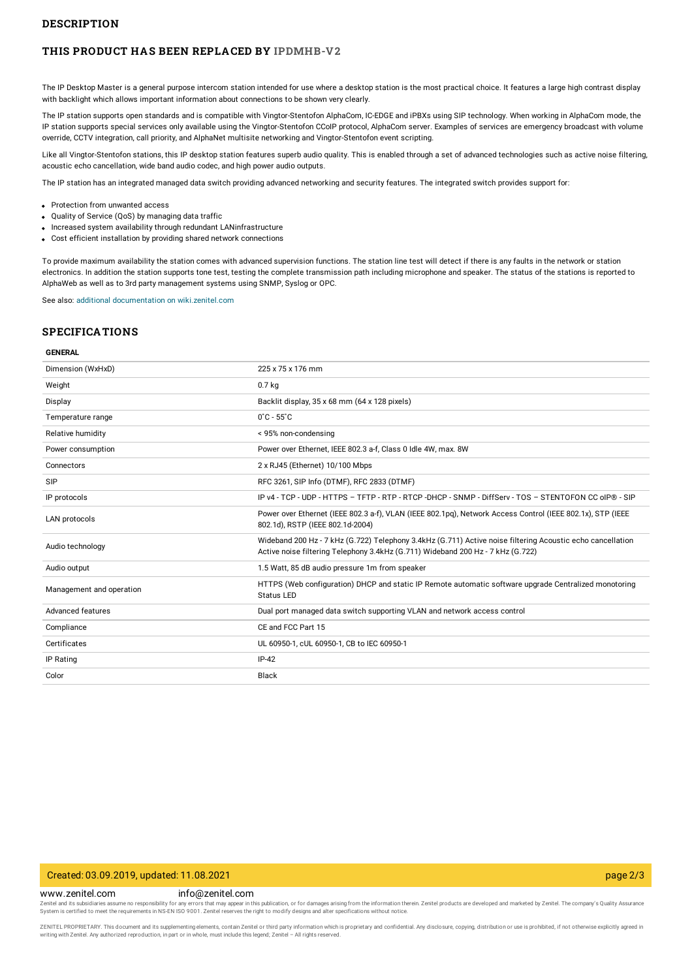#### **DESCRIPTION**

#### **THIS PRODUCT HAS BEEN REPLACED BY [IPDMHB-V2](https://www.zenitel.com/product/ipdmhb-v2)**

The IP Desktop Master is a general purpose intercom station intended for use where a desktop station is the most practical choice. It features a large high contrast display with backlight which allows important information about connections to be shown very clearly.

The IP station supports open standards and is compatible with Vingtor-Stentofon AlphaCom, IC-EDGE and iPBXs using SIP technology. When working in AlphaCom mode, the IP station supports special services only available using the Vingtor-Stentofon CCoIP protocol, AlphaCom server. Examples of services are emergency broadcast with volume override, CCTV integration, call priority, and AlphaNet multisite networking and Vingtor-Stentofon event scripting.

Like all Vingtor-Stentofon stations, this IP desktop station features superb audio quality. This is enabled through a set of advanced technologies such as active noise filtering, acoustic echo cancellation, wide band audio codec, and high power audio outputs.

The IP station has an integrated managed data switch providing advanced networking and security features. The integrated switch provides support for:

- Protection from unwanted access
- Ouality of Service (OoS) by managing data traffic
- Increased system availability through redundant LANinfrastructure
- Cost efficient installation by providing shared network connections

To provide maximum availability the station comes with advanced supervision functions. The station line test will detect if there is any faults in the network or station electronics. In addition the station supports tone test, testing the complete transmission path including microphone and speaker. The status of the stations is reported to AlphaWeb as well as to 3rd party management systems using SNMP, Syslog or OPC.

See also: additional documentation on [wiki.zenitel.com](https://wiki.zenitel.com/wiki/IP_Desktop_Master_Station_-_1008001000)

#### **SPECIFICATIONS**

#### **GENERAL**

| Dimension (WxHxD)        | 225 x 75 x 176 mm                                                                                                                                                                             |
|--------------------------|-----------------------------------------------------------------------------------------------------------------------------------------------------------------------------------------------|
| Weight                   | 0.7 <sub>kq</sub>                                                                                                                                                                             |
| Display                  | Backlit display, 35 x 68 mm (64 x 128 pixels)                                                                                                                                                 |
| Temperature range        | $0^{\circ}$ C - 55 $^{\circ}$ C                                                                                                                                                               |
| Relative humidity        | < 95% non-condensing                                                                                                                                                                          |
| Power consumption        | Power over Ethernet, IEEE 802.3 a-f, Class 0 Idle 4W, max. 8W                                                                                                                                 |
| Connectors               | 2 x RJ45 (Ethernet) 10/100 Mbps                                                                                                                                                               |
| SIP                      | RFC 3261, SIP Info (DTMF), RFC 2833 (DTMF)                                                                                                                                                    |
| IP protocols             | IP v4 - TCP - UDP - HTTPS - TFTP - RTP - RTCP -DHCP - SNMP - DiffServ - TOS - STENTOFON CC oIP® - SIP                                                                                         |
| LAN protocols            | Power over Ethernet (IEEE 802.3 a-f), VLAN (IEEE 802.1pq), Network Access Control (IEEE 802.1x), STP (IEEE<br>802.1d), RSTP (IEEE 802.1d-2004)                                                |
| Audio technology         | Wideband 200 Hz - 7 kHz (G.722) Telephony 3.4kHz (G.711) Active noise filtering Acoustic echo cancellation<br>Active noise filtering Telephony 3.4kHz (G.711) Wideband 200 Hz - 7 kHz (G.722) |
| Audio output             | 1.5 Watt, 85 dB audio pressure 1m from speaker                                                                                                                                                |
| Management and operation | HTTPS (Web configuration) DHCP and static IP Remote automatic software upgrade Centralized monotoring<br><b>Status LED</b>                                                                    |
| Advanced features        | Dual port managed data switch supporting VLAN and network access control                                                                                                                      |
| Compliance               | CE and FCC Part 15                                                                                                                                                                            |
| Certificates             | UL 60950-1, cUL 60950-1, CB to IEC 60950-1                                                                                                                                                    |
| IP Rating                | $IP-42$                                                                                                                                                                                       |
| Color                    | Black                                                                                                                                                                                         |
|                          |                                                                                                                                                                                               |

#### Created: 03.09.2019, updated: 11.08.2021 page 2/3

www.zenitel.com info@zenitel.com

Zenitel and its subsidiaries assume no responsibility for any errors that may appear in this publication, or for damages arising from the information therein. Zenitel products are developed and marketed by Zenitel. The com

ZENITEL PROPRIETARY. This document and its supplementing elements, contain Zenitel or third party information which is proprietary and confidential. Any disclosure, copying, distribution or use is prohibited, if not otherw